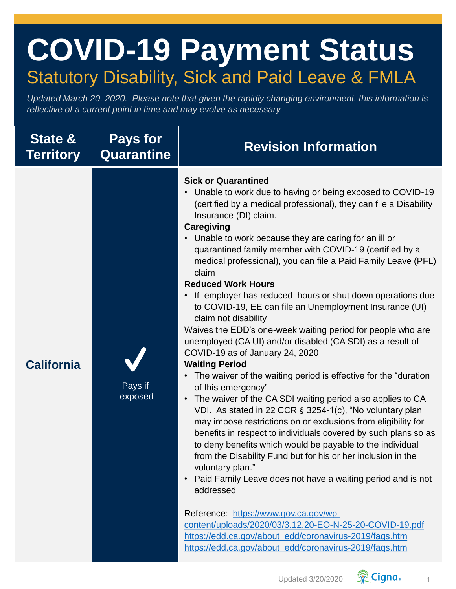## **COVID-19 Payment Status** Statutory Disability, Sick and Paid Leave & FMLA

*Updated March 20, 2020. Please note that given the rapidly changing environment, this information is reflective of a current point in time and may evolve as necessary*

| <b>State &amp;</b><br><b>Territory</b> | <b>Pays for</b><br><b>Quarantine</b> | <b>Revision Information</b>                                                                                                                                                                                                                                                                                                                                                                                                                                                                                                                                                                                                                                                                                                                                                                                                                                                                                                                                                                                                                                                                                                                                                                                                                                                                                                                                                                                                                                                                                                                                                                                                                               |
|----------------------------------------|--------------------------------------|-----------------------------------------------------------------------------------------------------------------------------------------------------------------------------------------------------------------------------------------------------------------------------------------------------------------------------------------------------------------------------------------------------------------------------------------------------------------------------------------------------------------------------------------------------------------------------------------------------------------------------------------------------------------------------------------------------------------------------------------------------------------------------------------------------------------------------------------------------------------------------------------------------------------------------------------------------------------------------------------------------------------------------------------------------------------------------------------------------------------------------------------------------------------------------------------------------------------------------------------------------------------------------------------------------------------------------------------------------------------------------------------------------------------------------------------------------------------------------------------------------------------------------------------------------------------------------------------------------------------------------------------------------------|
| <b>California</b>                      | Pays if<br>exposed                   | <b>Sick or Quarantined</b><br>Unable to work due to having or being exposed to COVID-19<br>$\bullet$<br>(certified by a medical professional), they can file a Disability<br>Insurance (DI) claim.<br><b>Caregiving</b><br>Unable to work because they are caring for an ill or<br>quarantined family member with COVID-19 (certified by a<br>medical professional), you can file a Paid Family Leave (PFL)<br>claim<br><b>Reduced Work Hours</b><br>If employer has reduced hours or shut down operations due<br>$\bullet$<br>to COVID-19, EE can file an Unemployment Insurance (UI)<br>claim not disability<br>Waives the EDD's one-week waiting period for people who are<br>unemployed (CA UI) and/or disabled (CA SDI) as a result of<br>COVID-19 as of January 24, 2020<br><b>Waiting Period</b><br>The waiver of the waiting period is effective for the "duration<br>$\bullet$<br>of this emergency"<br>The waiver of the CA SDI waiting period also applies to CA<br>$\bullet$<br>VDI. As stated in 22 CCR § 3254-1(c), "No voluntary plan<br>may impose restrictions on or exclusions from eligibility for<br>benefits in respect to individuals covered by such plans so as<br>to deny benefits which would be payable to the individual<br>from the Disability Fund but for his or her inclusion in the<br>voluntary plan."<br>Paid Family Leave does not have a waiting period and is not<br>$\bullet$<br>addressed<br>Reference: https://www.gov.ca.gov/wp-<br>content/uploads/2020/03/3.12.20-EO-N-25-20-COVID-19.pdf<br>https://edd.ca.gov/about_edd/coronavirus-2019/faqs.htm<br>https://edd.ca.gov/about_edd/coronavirus-2019/faqs.htm |

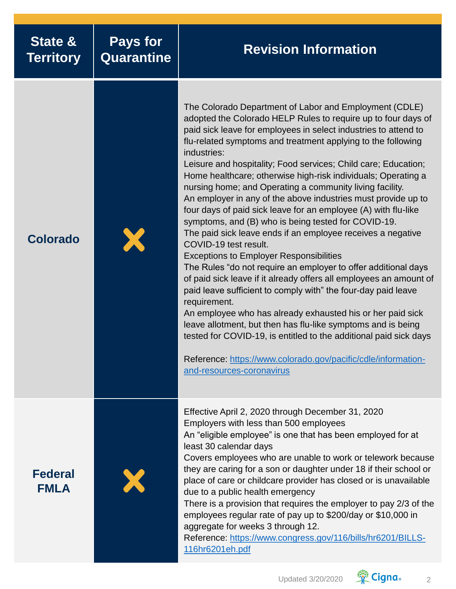| <b>State &amp;</b><br><b>Territory</b> | <b>Pays for</b><br>Quarantine | <b>Revision Information</b>                                                                                                                                                                                                                                                                                                                                                                                                                                                                                                                                                                                                                                                                                                                                                                                                                                                                                                                                                                                                                                                                                                                                                                                                                                                                                                            |
|----------------------------------------|-------------------------------|----------------------------------------------------------------------------------------------------------------------------------------------------------------------------------------------------------------------------------------------------------------------------------------------------------------------------------------------------------------------------------------------------------------------------------------------------------------------------------------------------------------------------------------------------------------------------------------------------------------------------------------------------------------------------------------------------------------------------------------------------------------------------------------------------------------------------------------------------------------------------------------------------------------------------------------------------------------------------------------------------------------------------------------------------------------------------------------------------------------------------------------------------------------------------------------------------------------------------------------------------------------------------------------------------------------------------------------|
| <b>Colorado</b>                        |                               | The Colorado Department of Labor and Employment (CDLE)<br>adopted the Colorado HELP Rules to require up to four days of<br>paid sick leave for employees in select industries to attend to<br>flu-related symptoms and treatment applying to the following<br>industries:<br>Leisure and hospitality; Food services; Child care; Education;<br>Home healthcare; otherwise high-risk individuals; Operating a<br>nursing home; and Operating a community living facility.<br>An employer in any of the above industries must provide up to<br>four days of paid sick leave for an employee (A) with flu-like<br>symptoms, and (B) who is being tested for COVID-19.<br>The paid sick leave ends if an employee receives a negative<br>COVID-19 test result.<br><b>Exceptions to Employer Responsibilities</b><br>The Rules "do not require an employer to offer additional days<br>of paid sick leave if it already offers all employees an amount of<br>paid leave sufficient to comply with" the four-day paid leave<br>requirement.<br>An employee who has already exhausted his or her paid sick<br>leave allotment, but then has flu-like symptoms and is being<br>tested for COVID-19, is entitled to the additional paid sick days<br>Reference: https://www.colorado.gov/pacific/cdle/information-<br>and-resources-coronavirus |
| <b>Federal</b><br><b>FMLA</b>          |                               | Effective April 2, 2020 through December 31, 2020<br>Employers with less than 500 employees<br>An "eligible employee" is one that has been employed for at<br>least 30 calendar days<br>Covers employees who are unable to work or telework because<br>they are caring for a son or daughter under 18 if their school or<br>place of care or childcare provider has closed or is unavailable<br>due to a public health emergency<br>There is a provision that requires the employer to pay 2/3 of the<br>employees regular rate of pay up to \$200/day or \$10,000 in<br>aggregate for weeks 3 through 12.<br>Reference: https://www.congress.gov/116/bills/hr6201/BILLS-<br>116hr6201eh.pdf                                                                                                                                                                                                                                                                                                                                                                                                                                                                                                                                                                                                                                           |

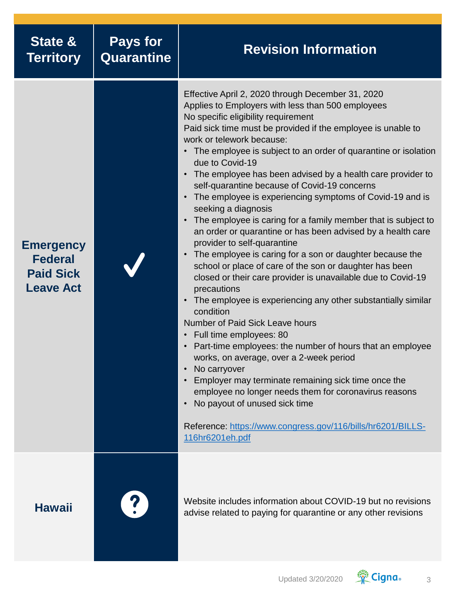| State &<br><b>Territory</b>                                                | <b>Pays for</b><br><b>Quarantine</b> | <b>Revision Information</b>                                                                                                                                                                                                                                                                                                                                                                                                                                                                                                                                                                                                                                                                                                                                                                                                                                                                                                                                                                                                                                                                                                                                                                                                                                                                                                                                                                                                |
|----------------------------------------------------------------------------|--------------------------------------|----------------------------------------------------------------------------------------------------------------------------------------------------------------------------------------------------------------------------------------------------------------------------------------------------------------------------------------------------------------------------------------------------------------------------------------------------------------------------------------------------------------------------------------------------------------------------------------------------------------------------------------------------------------------------------------------------------------------------------------------------------------------------------------------------------------------------------------------------------------------------------------------------------------------------------------------------------------------------------------------------------------------------------------------------------------------------------------------------------------------------------------------------------------------------------------------------------------------------------------------------------------------------------------------------------------------------------------------------------------------------------------------------------------------------|
| <b>Emergency</b><br><b>Federal</b><br><b>Paid Sick</b><br><b>Leave Act</b> |                                      | Effective April 2, 2020 through December 31, 2020<br>Applies to Employers with less than 500 employees<br>No specific eligibility requirement<br>Paid sick time must be provided if the employee is unable to<br>work or telework because:<br>• The employee is subject to an order of quarantine or isolation<br>due to Covid-19<br>The employee has been advised by a health care provider to<br>self-quarantine because of Covid-19 concerns<br>The employee is experiencing symptoms of Covid-19 and is<br>seeking a diagnosis<br>The employee is caring for a family member that is subject to<br>an order or quarantine or has been advised by a health care<br>provider to self-quarantine<br>• The employee is caring for a son or daughter because the<br>school or place of care of the son or daughter has been<br>closed or their care provider is unavailable due to Covid-19<br>precautions<br>The employee is experiencing any other substantially similar<br>condition<br><b>Number of Paid Sick Leave hours</b><br>• Full time employees: 80<br>• Part-time employees: the number of hours that an employee<br>works, on average, over a 2-week period<br>No carryover<br>Employer may terminate remaining sick time once the<br>employee no longer needs them for coronavirus reasons<br>No payout of unused sick time<br>Reference: https://www.congress.gov/116/bills/hr6201/BILLS-<br>116hr6201eh.pdf |
| <b>Hawaii</b>                                                              |                                      | Website includes information about COVID-19 but no revisions<br>advise related to paying for quarantine or any other revisions                                                                                                                                                                                                                                                                                                                                                                                                                                                                                                                                                                                                                                                                                                                                                                                                                                                                                                                                                                                                                                                                                                                                                                                                                                                                                             |

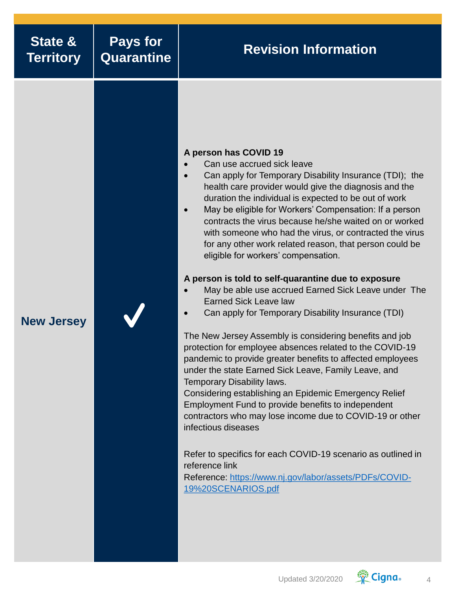| <b>State &amp;</b><br><b>Territory</b> | <b>Pays for</b><br><b>Quarantine</b> | <b>Revision Information</b>                                                                                                                                                                                                                                                                                                                                                                                                                                                                                                                                                                                                                                                                                                                                                                                                                                                                                                                                                                                                                                                                                                                                                                                                                                                                                                                                          |
|----------------------------------------|--------------------------------------|----------------------------------------------------------------------------------------------------------------------------------------------------------------------------------------------------------------------------------------------------------------------------------------------------------------------------------------------------------------------------------------------------------------------------------------------------------------------------------------------------------------------------------------------------------------------------------------------------------------------------------------------------------------------------------------------------------------------------------------------------------------------------------------------------------------------------------------------------------------------------------------------------------------------------------------------------------------------------------------------------------------------------------------------------------------------------------------------------------------------------------------------------------------------------------------------------------------------------------------------------------------------------------------------------------------------------------------------------------------------|
| <b>New Jersey</b>                      |                                      | A person has COVID 19<br>Can use accrued sick leave<br>Can apply for Temporary Disability Insurance (TDI); the<br>health care provider would give the diagnosis and the<br>duration the individual is expected to be out of work<br>May be eligible for Workers' Compensation: If a person<br>contracts the virus because he/she waited on or worked<br>with someone who had the virus, or contracted the virus<br>for any other work related reason, that person could be<br>eligible for workers' compensation.<br>A person is told to self-quarantine due to exposure<br>May be able use accrued Earned Sick Leave under The<br><b>Earned Sick Leave law</b><br>Can apply for Temporary Disability Insurance (TDI)<br>The New Jersey Assembly is considering benefits and job<br>protection for employee absences related to the COVID-19<br>pandemic to provide greater benefits to affected employees<br>under the state Earned Sick Leave, Family Leave, and<br>Temporary Disability laws.<br>Considering establishing an Epidemic Emergency Relief<br>Employment Fund to provide benefits to independent<br>contractors who may lose income due to COVID-19 or other<br>infectious diseases<br>Refer to specifics for each COVID-19 scenario as outlined in<br>reference link<br>Reference: https://www.nj.gov/labor/assets/PDFs/COVID-<br>19%20SCENARIOS.pdf |

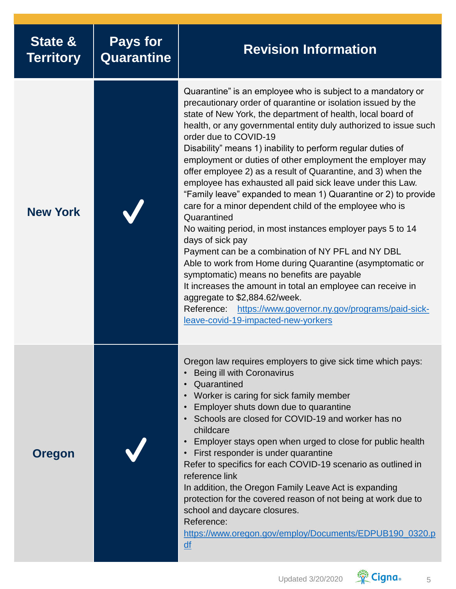| State &<br><b>Territory</b> | <b>Pays for</b><br>Quarantine | <b>Revision Information</b>                                                                                                                                                                                                                                                                                                                                                                                                                                                                                                                                                                                                                                                                                                                                                                                                                                                                                                                                                                                                                                                                                                                          |
|-----------------------------|-------------------------------|------------------------------------------------------------------------------------------------------------------------------------------------------------------------------------------------------------------------------------------------------------------------------------------------------------------------------------------------------------------------------------------------------------------------------------------------------------------------------------------------------------------------------------------------------------------------------------------------------------------------------------------------------------------------------------------------------------------------------------------------------------------------------------------------------------------------------------------------------------------------------------------------------------------------------------------------------------------------------------------------------------------------------------------------------------------------------------------------------------------------------------------------------|
| <b>New York</b>             |                               | Quarantine" is an employee who is subject to a mandatory or<br>precautionary order of quarantine or isolation issued by the<br>state of New York, the department of health, local board of<br>health, or any governmental entity duly authorized to issue such<br>order due to COVID-19<br>Disability" means 1) inability to perform regular duties of<br>employment or duties of other employment the employer may<br>offer employee 2) as a result of Quarantine, and 3) when the<br>employee has exhausted all paid sick leave under this Law.<br>"Family leave" expanded to mean 1) Quarantine or 2) to provide<br>care for a minor dependent child of the employee who is<br>Quarantined<br>No waiting period, in most instances employer pays 5 to 14<br>days of sick pay<br>Payment can be a combination of NY PFL and NY DBL<br>Able to work from Home during Quarantine (asymptomatic or<br>symptomatic) means no benefits are payable<br>It increases the amount in total an employee can receive in<br>aggregate to \$2,884.62/week.<br>Reference: https://www.governor.ny.gov/programs/paid-sick-<br>leave-covid-19-impacted-new-yorkers |
| <b>Oregon</b>               |                               | Oregon law requires employers to give sick time which pays:<br>Being ill with Coronavirus<br>Quarantined<br>Worker is caring for sick family member<br>Employer shuts down due to quarantine<br>Schools are closed for COVID-19 and worker has no<br>childcare<br>Employer stays open when urged to close for public health<br>First responder is under quarantine<br>Refer to specifics for each COVID-19 scenario as outlined in<br>reference link<br>In addition, the Oregon Family Leave Act is expanding<br>protection for the covered reason of not being at work due to<br>school and daycare closures.<br>Reference:<br>https://www.oregon.gov/employ/Documents/EDPUB190_0320.p<br>$\overline{df}$                                                                                                                                                                                                                                                                                                                                                                                                                                           |